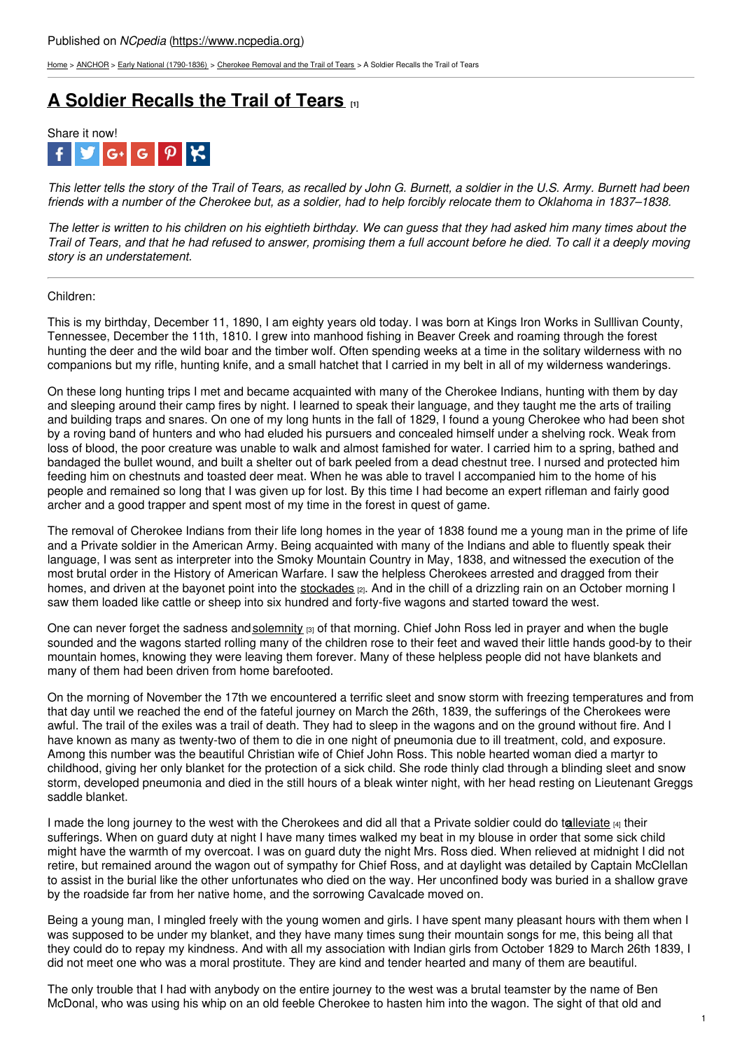[Home](https://www.ncpedia.org/) > [ANCHOR](https://www.ncpedia.org/anchor/anchor) > Early National [\(1790-1836\)](https://www.ncpedia.org/anchor/early-national-1790-1836) > [Cherokee](https://www.ncpedia.org/anchor/cherokee-removal-and-trail) Removal and the Trail of Tears > A Soldier Recalls the Trail of Tears

## **A Soldier [Recalls](https://www.ncpedia.org/anchor/soldier-recalls-trail-tears) the Trail of Tears [1]**



This letter tells the story of the Trail of Tears, as recalled by John G. Burnett, a soldier in the U.S. Army, Burnett had been friends with a number of the Cherokee but, as a soldier, had to help forcibly relocate them to Oklahoma in 1837–1838.

The letter is written to his children on his eightieth birthday. We can guess that they had asked him many times about the Trail of Tears, and that he had refused to answer, promising them a full account before he died. To call it a deeply moving *story is an understatement.*

## Children:

This is my birthday, December 11, 1890, I am eighty years old today. I was born at Kings Iron Works in Sulllivan County, Tennessee, December the 11th, 1810. I grew into [manho](http://www.social9.com)od fishing in Beaver Creek and roaming through the forest hunting the deer and the wild boar and the timber wolf. Often spending weeks at a time in the solitary wilderness with no companions but my rifle, hunting knife, and a small hatchet that I carried in my belt in all of my wilderness wanderings.

On these long hunting trips I met and became acquainted with many of the Cherokee Indians, hunting with them by day and sleeping around their camp fires by night. I learned to speak their language, and they taught me the arts of trailing and building traps and snares. On one of my long hunts in the fall of 1829, I found a young Cherokee who had been shot by a roving band of hunters and who had eluded his pursuers and concealed himself under a shelving rock. Weak from loss of blood, the poor creature was unable to walk and almost famished for water. I carried him to a spring, bathed and bandaged the bullet wound, and built a shelter out of bark peeled from a dead chestnut tree. I nursed and protected him feeding him on chestnuts and toasted deer meat. When he was able to travel I accompanied him to the home of his people and remained so long that I was given up for lost. By this time I had become an expert rifleman and fairly good archer and a good trapper and spent most of my time in the forest in quest of game.

The removal of Cherokee Indians from their life long homes in the year of 1838 found me a young man in the prime of life and a Private soldier in the American Army. Being acquainted with many of the Indians and able to fluently speak their language, I was sent as interpreter into the Smoky Mountain Country in May, 1838, and witnessed the execution of the most brutal order in the History of American Warfare. I saw the helpless Cherokees arrested and dragged from their homes, and driven at the bayonet point into the [stockades](https://www.ncpedia.org/glossary/stockade) [2]. And in the chill of a drizzling rain on an October morning I saw them loaded like cattle or sheep into six hundred and forty-five wagons and started toward the west.

One can never forget the sadness and [solemnity](https://www.ncpedia.org/glossary/solemnity) [3] of that morning. Chief John Ross led in prayer and when the bugle sounded and the wagons started rolling many of the children rose to their feet and waved their little hands good-by to their mountain homes, knowing they were leaving them forever. Many of these helpless people did not have blankets and many of them had been driven from home barefooted.

On the morning of November the 17th we encountered a terrific sleet and snow storm with freezing temperatures and from that day until we reached the end of the fateful journey on March the 26th, 1839, the sufferings of the Cherokees were awful. The trail of the exiles was a trail of death. They had to sleep in the wagons and on the ground without fire. And I have known as many as twenty-two of them to die in one night of pneumonia due to ill treatment, cold, and exposure. Among this number was the beautiful Christian wife of Chief John Ross. This noble hearted woman died a martyr to childhood, giving her only blanket for the protection of a sick child. She rode thinly clad through a blinding sleet and snow storm, developed pneumonia and died in the still hours of a bleak winter night, with her head resting on Lieutenant Greggs saddle blanket.

I made the long journey to the west with the Cherokees and did all that a Private soldier could do talleviate [4] their sufferings. When on guard duty at night I have many times walked my beat in my blouse in order that some sick child might have the warmth of my overcoat. I was on guard duty the night Mrs. Ross died. When relieved at midnight I did not retire, but remained around the wagon out of sympathy for Chief Ross, and at daylight was detailed by Captain McClellan to assist in the burial like the other unfortunates who died on the way. Her unconfined body was buried in a shallow grave by the roadside far from her native home, and the sorrowing Cavalcade moved on.

Being a young man, I mingled freely with the young women and girls. I have spent many pleasant hours with them when I was supposed to be under my blanket, and they have many times sung their mountain songs for me, this being all that they could do to repay my kindness. And with all my association with Indian girls from October 1829 to March 26th 1839, I did not meet one who was a moral prostitute. They are kind and tender hearted and many of them are beautiful.

The only trouble that I had with anybody on the entire journey to the west was a brutal teamster by the name of Ben McDonal, who was using his whip on an old feeble Cherokee to hasten him into the wagon. The sight of that old and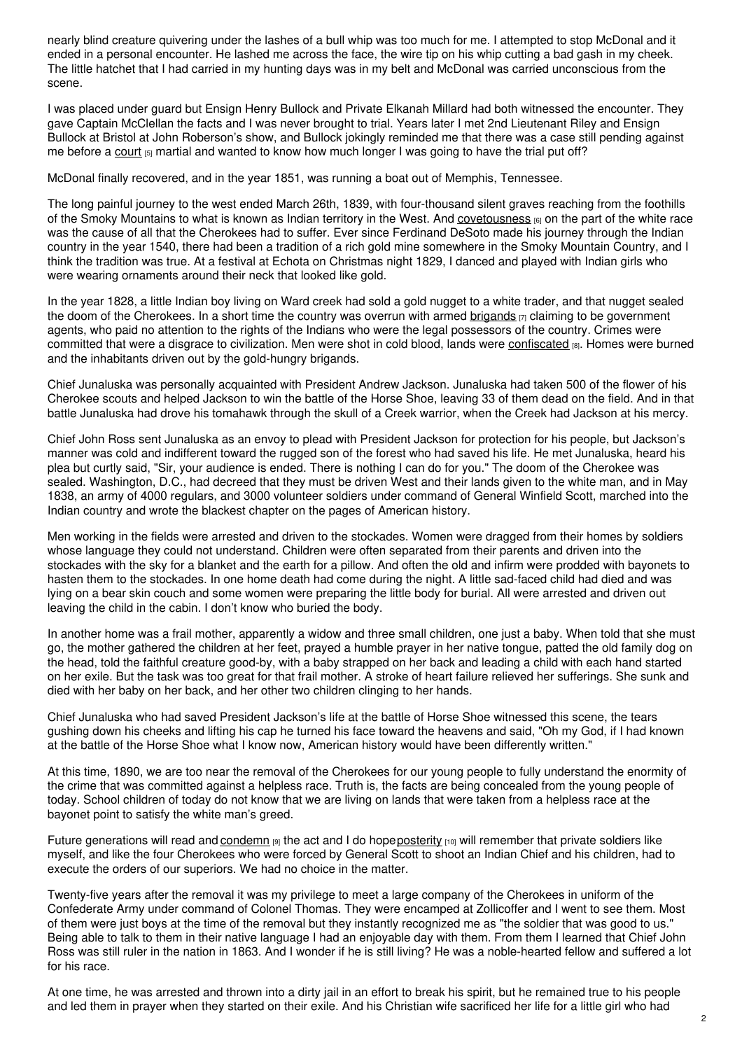nearly blind creature quivering under the lashes of a bull whip was too much for me. I attempted to stop McDonal and it ended in a personal encounter. He lashed me across the face, the wire tip on his whip cutting a bad gash in my cheek. The little hatchet that I had carried in my hunting days was in my belt and McDonal was carried unconscious from the scene.

I was placed under guard but Ensign Henry Bullock and Private Elkanah Millard had both witnessed the encounter. They gave Captain McClellan the facts and I was never brought to trial. Years later I met 2nd Lieutenant Riley and Ensign Bullock at Bristol at John Roberson's show, and Bullock jokingly reminded me that there was a case still pending against me before a [court](https://www.ncpedia.org/glossary/court)  $_{[5]}$  martial and wanted to know how much longer I was going to have the trial put off?

McDonal finally recovered, and in the year 1851, was running a boat out of Memphis, Tennessee.

The long painful journey to the west ended March 26th, 1839, with four-thousand silent graves reaching from the foothills of the Smoky Mountains to what is known as Indian territory in the West. And [covetousness](https://www.ncpedia.org/glossary/covetousness) [6] on the part of the white race was the cause of all that the Cherokees had to suffer. Ever since Ferdinand DeSoto made his journey through the Indian country in the year 1540, there had been a tradition of a rich gold mine somewhere in the Smoky Mountain Country, and I think the tradition was true. At a festival at Echota on Christmas night 1829, I danced and played with Indian girls who were wearing ornaments around their neck that looked like gold.

In the year 1828, a little Indian boy living on Ward creek had sold a gold nugget to a white trader, and that nugget sealed the doom of the Cherokees. In a short time the country was overrun with armed [brigands](https://www.ncpedia.org/glossary/brigand) [7] claiming to be government agents, who paid no attention to the rights of the Indians who were the legal possessors of the country. Crimes were committed that were a disgrace to civilization. Men were shot in cold blood, lands were [confiscated](https://www.ncpedia.org/glossary/confiscate) [8]. Homes were burned and the inhabitants driven out by the gold-hungry brigands.

Chief Junaluska was personally acquainted with President Andrew Jackson. Junaluska had taken 500 of the flower of his Cherokee scouts and helped Jackson to win the battle of the Horse Shoe, leaving 33 of them dead on the field. And in that battle Junaluska had drove his tomahawk through the skull of a Creek warrior, when the Creek had Jackson at his mercy.

Chief John Ross sent Junaluska as an envoy to plead with President Jackson for protection for his people, but Jackson's manner was cold and indifferent toward the rugged son of the forest who had saved his life. He met Junaluska, heard his plea but curtly said, "Sir, your audience is ended. There is nothing I can do for you." The doom of the Cherokee was sealed. Washington, D.C., had decreed that they must be driven West and their lands given to the white man, and in May 1838, an army of 4000 regulars, and 3000 volunteer soldiers under command of General Winfield Scott, marched into the Indian country and wrote the blackest chapter on the pages of American history.

Men working in the fields were arrested and driven to the stockades. Women were dragged from their homes by soldiers whose language they could not understand. Children were often separated from their parents and driven into the stockades with the sky for a blanket and the earth for a pillow. And often the old and infirm were prodded with bayonets to hasten them to the stockades. In one home death had come during the night. A little sad-faced child had died and was lying on a bear skin couch and some women were preparing the little body for burial. All were arrested and driven out leaving the child in the cabin. I don't know who buried the body.

In another home was a frail mother, apparently a widow and three small children, one just a baby. When told that she must go, the mother gathered the children at her feet, prayed a humble prayer in her native tongue, patted the old family dog on the head, told the faithful creature good-by, with a baby strapped on her back and leading a child with each hand started on her exile. But the task was too great for that frail mother. A stroke of heart failure relieved her sufferings. She sunk and died with her baby on her back, and her other two children clinging to her hands.

Chief Junaluska who had saved President Jackson's life at the battle of Horse Shoe witnessed this scene, the tears gushing down his cheeks and lifting his cap he turned his face toward the heavens and said, "Oh my God, if I had known at the battle of the Horse Shoe what I know now, American history would have been differently written."

At this time, 1890, we are too near the removal of the Cherokees for our young people to fully understand the enormity of the crime that was committed against a helpless race. Truth is, the facts are being concealed from the young people of today. School children of today do not know that we are living on lands that were taken from a helpless race at the bayonet point to satisfy the white man's greed.

Future generations will read and [condemn](https://www.ncpedia.org/glossary/condemn)  $\theta$  the act and I do hope[posterity](https://www.ncpedia.org/glossary/posterity)  $\theta$  will remember that private soldiers like myself, and like the four Cherokees who were forced by General Scott to shoot an Indian Chief and his children, had to execute the orders of our superiors. We had no choice in the matter.

Twenty-five years after the removal it was my privilege to meet a large company of the Cherokees in uniform of the Confederate Army under command of Colonel Thomas. They were encamped at Zollicoffer and I went to see them. Most of them were just boys at the time of the removal but they instantly recognized me as "the soldier that was good to us." Being able to talk to them in their native language I had an enjoyable day with them. From them I learned that Chief John Ross was still ruler in the nation in 1863. And I wonder if he is still living? He was a noble-hearted fellow and suffered a lot for his race.

At one time, he was arrested and thrown into a dirty jail in an effort to break his spirit, but he remained true to his people and led them in prayer when they started on their exile. And his Christian wife sacrificed her life for a little girl who had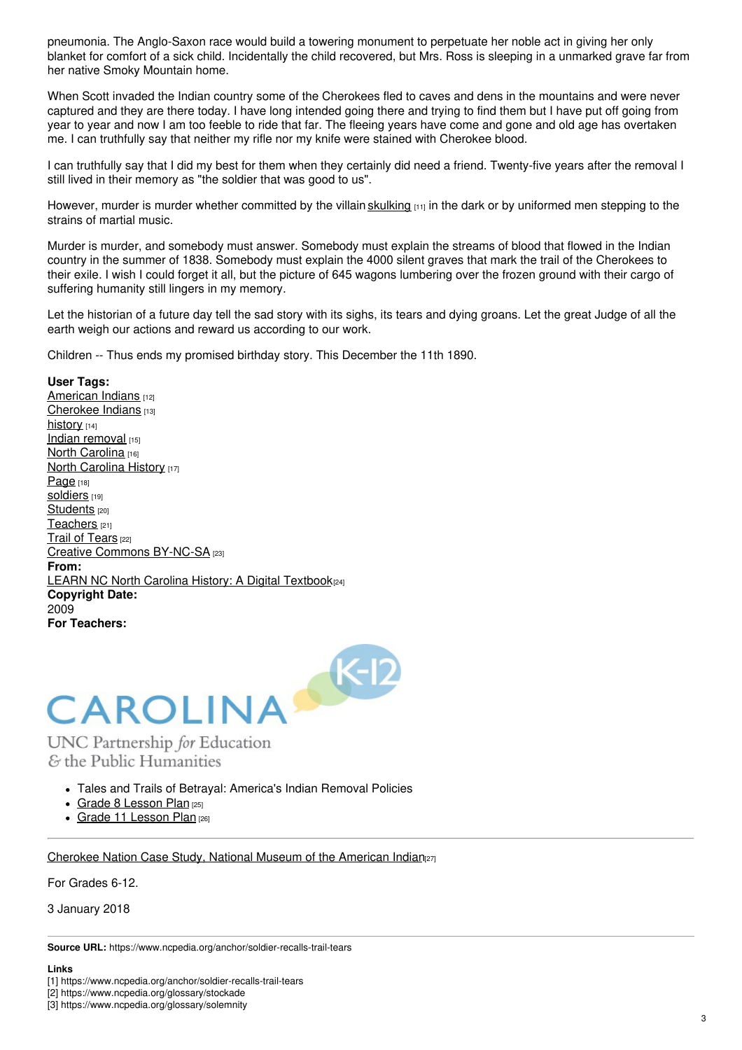pneumonia. The Anglo-Saxon race would build a towering monument to perpetuate her noble act in giving her only blanket for comfort of a sick child. Incidentally the child recovered, but Mrs. Ross is sleeping in a unmarked grave far from her native Smoky Mountain home.

When Scott invaded the Indian country some of the Cherokees fled to caves and dens in the mountains and were never captured and they are there today. I have long intended going there and trying to find them but I have put off going from year to year and now I am too feeble to ride that far. The fleeing years have come and gone and old age has overtaken me. I can truthfully say that neither my rifle nor my knife were stained with Cherokee blood.

I can truthfully say that I did my best for them when they certainly did need a friend. Twenty-five years after the removal I still lived in their memory as "the soldier that was good to us".

However, murder is murder whether committed by the villain [skulking](https://www.ncpedia.org/glossary/skulk)  $\mu_1$  in the dark or by uniformed men stepping to the strains of martial music.

Murder is murder, and somebody must answer. Somebody must explain the streams of blood that flowed in the Indian country in the summer of 1838. Somebody must explain the 4000 silent graves that mark the trail of the Cherokees to their exile. I wish I could forget it all, but the picture of 645 wagons lumbering over the frozen ground with their cargo of suffering humanity still lingers in my memory.

Let the historian of a future day tell the sad story with its sighs, its tears and dying groans. Let the great Judge of all the earth weigh our actions and reward us according to our work.

Children -- Thus ends my promised birthday story. This December the 11th 1890.

**User Tags:**

[American](https://www.ncpedia.org/category/user-tags/american-indians) Indians [12] [Cherokee](https://www.ncpedia.org/category/user-tags/cherokee-indians) Indians [13] [history](https://www.ncpedia.org/category/user-tags/history) [14] Indian [removal](https://www.ncpedia.org/category/user-tags/indian-removal) [15] North [Carolina](https://www.ncpedia.org/category/user-tags/north-carolina-5) [16] North [Carolina](https://www.ncpedia.org/category/user-tags/north-carolina-6) History [17] [Page](https://www.ncpedia.org/category/user-tags/page) [18] Soldiers [19] [Students](https://www.ncpedia.org/category/user-tags/students) [20] [Teachers](https://www.ncpedia.org/category/user-tags/teachers) [21] Trail of [Tears](https://www.ncpedia.org/category/user-tags/trail-tears) [22] Creative Commons [BY-NC-SA](https://www.ncpedia.org/category/user-tags/creative-commons) [23] **From:** LEARN NC North Carolina History: A Digital [Textbook](https://www.ncpedia.org/category/entry-source/learn-nc)<sup>[24]</sup> **Copyright Date:** 2009 **For Teachers:**



& the Public Humanities

- Tales and Trails of Betrayal: America's Indian Removal Policies
- Grade 8 [Lesson](https://database.civics.unc.edu/wp-content/uploads/sites/31/2012/04/IndianRemoval.pdf) Plan [25]
- Grade 11 [Lesson](https://database.civics.unc.edu/wp-content/uploads/sites/31/2012/05/IndianRemoval11.pdf) Plan [26]

[Cherokee](https://americanindian.si.edu/nk360/removal/index.cshtml#titlePagecshtml) Nation Case Study, National Museum of the American Indian<sub>[27]</sub>

For Grades 6-12.

3 January 2018

**Source URL:** https://www.ncpedia.org/anchor/soldier-recalls-trail-tears

## **Links**

<sup>[1]</sup> https://www.ncpedia.org/anchor/soldier-recalls-trail-tears

<sup>[2]</sup> https://www.ncpedia.org/glossary/stockade

<sup>[3]</sup> https://www.ncpedia.org/glossary/solemnity